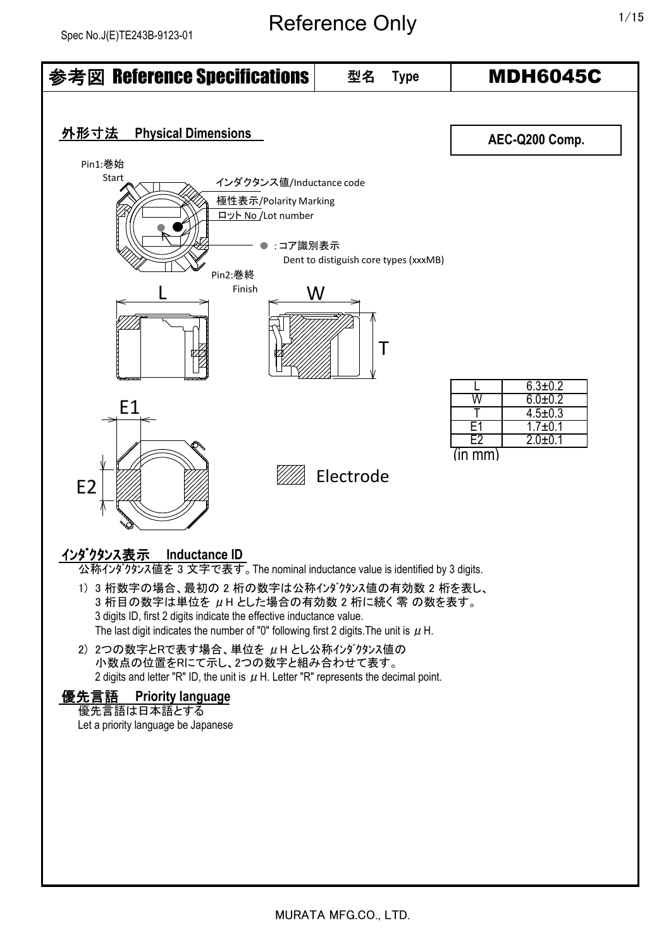## Reference Only 1/15

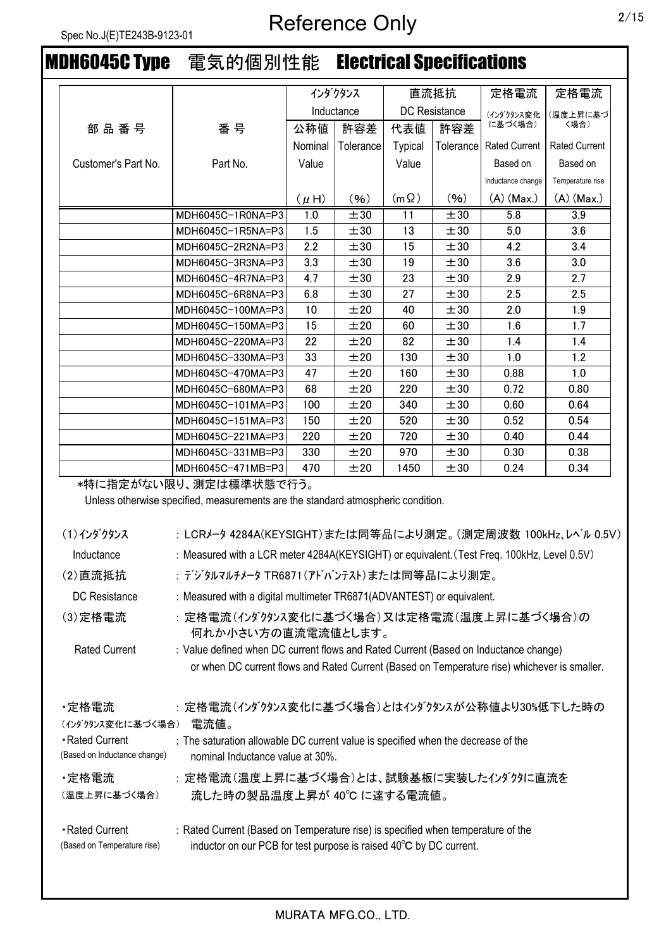# MDH6045C Type 電気的個別性能 Electrical Specifications

|                     |                   |            | インダクタンス   |                      | 直流抵抗      | 定格電流                 | 定格電流                 |
|---------------------|-------------------|------------|-----------|----------------------|-----------|----------------------|----------------------|
|                     |                   | Inductance |           | <b>DC</b> Resistance |           | (インダクタンス変化           | (温度上昇に基づ             |
| 部品番号                | 番号                | 公称値        | 許容差       | 代表値                  | 許容差       | に基づく場合)              | 〈場合)                 |
|                     |                   | Nominal    | Tolerance | <b>Typical</b>       | Tolerance | <b>Rated Current</b> | <b>Rated Current</b> |
| Customer's Part No. | Part No.          | Value      |           | Value                |           | Based on             | Based on             |
|                     |                   |            |           |                      |           | Inductance change    | Temperature rise     |
|                     |                   | $(\mu H)$  | (96)      | $(m \Omega)$         | (96)      | $(A)$ (Max.)         | $(A)$ (Max.)         |
|                     | MDH6045C-1R0NA=P3 | 1.0        | ±30       | 11                   | ±30       | 5.8                  | 3.9                  |
|                     | MDH6045C-1R5NA=P3 | 1.5        | ±30       | 13                   | ±30       | 5.0                  | 3.6                  |
|                     | MDH6045C-2R2NA=P3 | 2.2        | ±30       | 15                   | ±30       | 4.2                  | 3.4                  |
|                     | MDH6045C-3R3NA=P3 | 3.3        | ±30       | 19                   | ±30       | 3.6                  | 3.0                  |
|                     | MDH6045C-4R7NA=P3 | 4.7        | ±30       | 23                   | ±30       | 2.9                  | 2.7                  |
|                     | MDH6045C-6R8NA=P3 | 6.8        | ±30       | 27                   | ±30       | 2.5                  | 2.5                  |
|                     | MDH6045C-100MA=P3 | 10         | ±20       | 40                   | ±30       | 2.0                  | 1.9                  |
|                     | MDH6045C-150MA=P3 | 15         | ±20       | 60                   | ±30       | 1.6                  | 1.7                  |
|                     | MDH6045C-220MA=P3 | 22         | ±20       | 82                   | ±30       | 1.4                  | 1.4                  |
|                     | MDH6045C-330MA=P3 | 33         | ±20       | 130                  | ±30       | 1.0                  | 1.2                  |
|                     | MDH6045C-470MA=P3 | 47         | ±20       | 160                  | ±30       | 0.88                 | 1.0                  |
|                     | MDH6045C-680MA=P3 | 68         | ±20       | 220                  | ±30       | 0.72                 | 0.80                 |
|                     | MDH6045C-101MA=P3 | 100        | ±20       | 340                  | ±30       | 0.60                 | 0.64                 |
|                     | MDH6045C-151MA=P3 | 150        | ±20       | 520                  | ±30       | 0.52                 | 0.54                 |
|                     | MDH6045C-221MA=P3 | 220        | ±20       | 720                  | ±30       | 0.40                 | 0.44                 |
|                     | MDH6045C-331MB=P3 | 330        | ±20       | 970                  | ±30       | 0.30                 | 0.38                 |
|                     | MDH6045C-471MB=P3 | 470        | ±20       | 1450                 | ±30       | 0.24                 | 0.34                 |

\*特に指定がない限り、測定は標準状態で行う。

Unless otherwise specified, measurements are the standard atmospheric condition.

| (1) インダクタンス                                    | :LCRメータ 4284A(KEYSIGHT)または同等品により測定。(測定周波数 100kHz、レベル 0.5V)                                                                                             |
|------------------------------------------------|--------------------------------------------------------------------------------------------------------------------------------------------------------|
| Inductance                                     | : Measured with a LCR meter 4284A(KEYSIGHT) or equivalent. (Test Freq. 100kHz, Level 0.5V)                                                             |
| (2)直流抵抗                                        | :デジタルマルチメータ TR6871(アドバンテスト)または同等品により測定。                                                                                                                |
| DC Resistance                                  | : Measured with a digital multimeter TR6871(ADVANTEST) or equivalent.                                                                                  |
| (3) 定格電流                                       | : 定格電流(インダクタンス変化に基づく場合)又は定格電流(温度上昇に基づく場合)の<br>何れか小さい方の直流電流値とします。                                                                                       |
| <b>Rated Current</b>                           | : Value defined when DC current flows and Rated Current (Based on Inductance change)                                                                   |
|                                                | or when DC current flows and Rated Current (Based on Temperature rise) whichever is smaller.                                                           |
| ·定格電流<br>(インダクタンス変化に基づく場合)                     | : 定格電流(インダクタンス変化に基づく場合)とはインダクタンスが公称値より30%低下した時の<br>電流値。                                                                                                |
| Rated Current<br>(Based on Inductance change)  | : The saturation allowable DC current value is specified when the decrease of the<br>nominal Inductance value at 30%.                                  |
| ·定格電流<br>(温度上昇に基づく場合)                          | : 定格電流(温度上昇に基づく場合)とは、試験基板に実装したインダクタに直流を<br>流した時の製品温度上昇が 40℃ に達する電流値。                                                                                   |
| • Rated Current<br>(Based on Temperature rise) | : Rated Current (Based on Temperature rise) is specified when temperature of the<br>inductor on our PCB for test purpose is raised 40°C by DC current. |
|                                                |                                                                                                                                                        |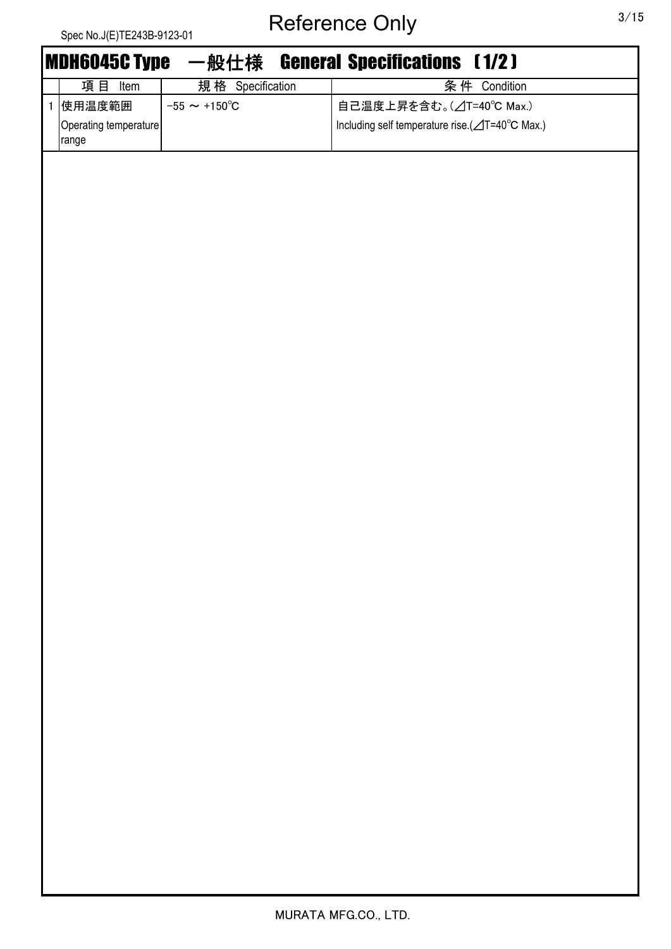|              | Spec No.J(E)TE243B-9123-01     |                          | -<br>$\overline{\phantom{a}}$<br>$\sim$<br>$-$<br>$\sim$<br>J |
|--------------|--------------------------------|--------------------------|---------------------------------------------------------------|
|              | <b>MDH6045C Type</b>           | 一般仕様                     | <b>General Specifications (1/2)</b>                           |
|              | 項目 Item                        | 規格 Specification         | 条件 Condition                                                  |
| $\mathbf{1}$ | 使用温度範囲                         | $-55 \sim +150^{\circ}C$ | 自己温度上昇を含む。(△T=40℃ Max.)                                       |
|              | Operating temperature<br>range |                          | Including self temperature rise.(⊿T=40°C Max.)                |
|              |                                |                          |                                                               |
|              |                                |                          |                                                               |
|              |                                |                          |                                                               |
|              |                                |                          |                                                               |
|              |                                |                          |                                                               |
|              |                                |                          |                                                               |
|              |                                |                          |                                                               |
|              |                                |                          |                                                               |
|              |                                |                          |                                                               |
|              |                                |                          |                                                               |
|              |                                |                          |                                                               |
|              |                                |                          |                                                               |
|              |                                |                          |                                                               |
|              |                                |                          |                                                               |
|              |                                |                          |                                                               |
|              |                                |                          |                                                               |
|              |                                |                          |                                                               |
|              |                                |                          |                                                               |
|              |                                |                          |                                                               |
|              |                                |                          |                                                               |
|              |                                |                          |                                                               |
|              |                                |                          |                                                               |
|              |                                |                          |                                                               |
|              |                                |                          |                                                               |
|              |                                |                          |                                                               |
|              |                                |                          |                                                               |
|              |                                |                          |                                                               |
|              |                                |                          |                                                               |
|              |                                |                          |                                                               |
|              |                                |                          |                                                               |
|              |                                |                          |                                                               |
|              |                                |                          |                                                               |
|              |                                |                          |                                                               |
|              |                                |                          |                                                               |
|              |                                |                          |                                                               |
|              |                                |                          |                                                               |
|              |                                |                          |                                                               |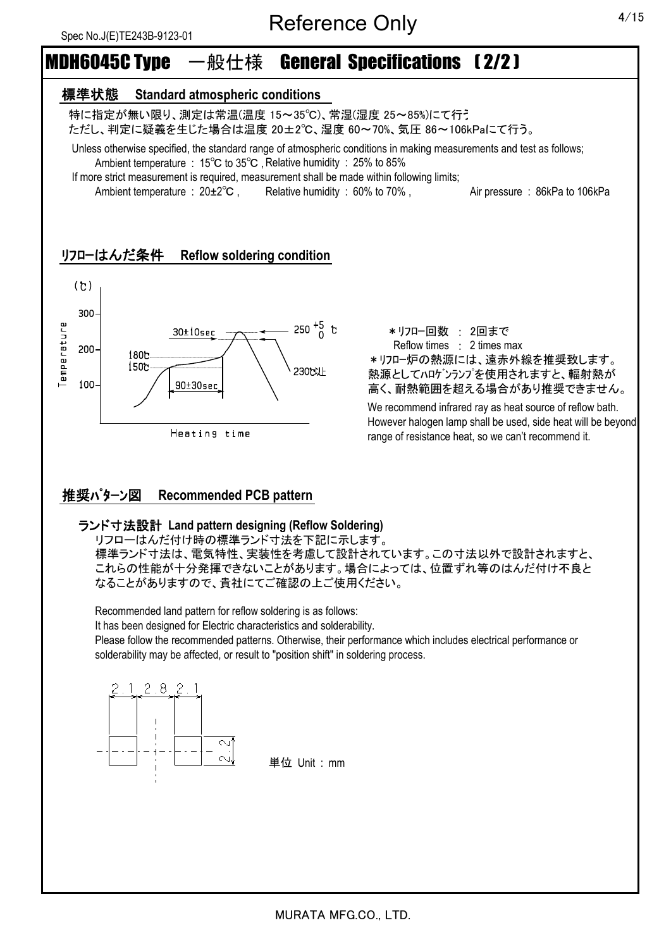# MDH6045C Type 一般仕様 General Specifications ( 2/2 )

#### 標準状態 **Standard atmospheric conditions**

 特に指定が無い限り、測定は常温(温度 15~35℃)、常湿(湿度 25~85%)にて行う ただし、判定に疑義を生じた場合は温度 20±2℃、湿度 60~70%、気圧 86~106kPaにて行う。

 Unless otherwise specified, the standard range of atmospheric conditions in making measurements and test as follows; Ambient temperature : 15℃ to 35℃ ,Relative humidity : 25% to 85%

If more strict measurement is required, measurement shall be made within following limits;

Ambient temperature : 20±2°C, Relative humidity : 60% to 70%, Air pressure : 86kPa to 106kPa

#### リフローはんだ条件 **Reflow soldering condition**



\*リフロー回数 : 2回まで Reflow times : 2 times max \*リフロー炉の熱源には、遠赤外線を推奨致します。 熱源としてハロゲンランプを使用されますと、輻射熱が 高く、耐熱範囲を超える場合があり推奨できません。

We recommend infrared ray as heat source of reflow bath. However halogen lamp shall be used, side heat will be beyond range of resistance heat, so we can't recommend it.

#### 推奨パターン図 **Recommended PCB pattern**

#### ランド寸法設計 **Land pattern designing (Reflow Soldering)**

リフローはんだ付け時の標準ランド寸法を下記に示します。 標準ランド寸法は、電気特性、実装性を考慮して設計されています。この寸法以外で設計されますと、 これらの性能が十分発揮できないことがあります。場合によっては、位置ずれ等のはんだ付け不良と なることがありますので、貴社にてご確認の上ご使用ください。

Recommended land pattern for reflow soldering is as follows:

It has been designed for Electric characteristics and solderability.

Please follow the recommended patterns. Otherwise, their performance which includes electrical performance or solderability may be affected, or result to "position shift" in soldering process.



単位 Unit : mm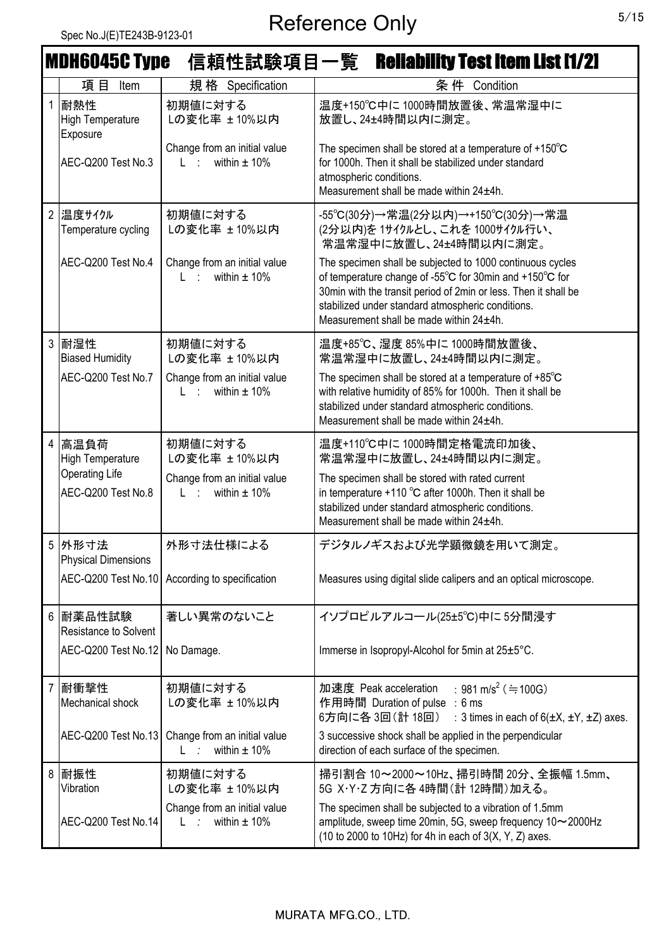|                | <b>MDH6045C Type</b>                        |                                                             | 信頼性試験項目一覧 Reliability Test Item List [1/2]                                                                                                                                                                                                                                              |
|----------------|---------------------------------------------|-------------------------------------------------------------|-----------------------------------------------------------------------------------------------------------------------------------------------------------------------------------------------------------------------------------------------------------------------------------------|
|                | 項目<br>Item                                  | 規格 Specification                                            | 条件 Condition                                                                                                                                                                                                                                                                            |
|                | 耐熱性<br><b>High Temperature</b><br>Exposure  | 初期値に対する<br>Lの変化率 ±10%以内                                     | 温度+150℃中に1000時間放置後、常温常湿中に<br>放置し、24±4時間以内に測定。                                                                                                                                                                                                                                           |
|                | AEC-Q200 Test No.3                          | Change from an initial value<br>within $\pm$ 10%<br>$L = 1$ | The specimen shall be stored at a temperature of $+150^{\circ}$ C<br>for 1000h. Then it shall be stabilized under standard<br>atmospheric conditions.<br>Measurement shall be made within 24±4h.                                                                                        |
| $\overline{2}$ | 温度サイクル<br>Temperature cycling               | 初期値に対する<br>Lの変化率 ±10%以内                                     | -55℃(30分)→常温(2分以内)→+150℃(30分)→常温<br>(2分以内)を1サイクルとし、これを1000サイクル行い、<br>常温常湿中に放置し、24±4時間以内に測定。                                                                                                                                                                                             |
|                | AEC-Q200 Test No.4                          | Change from an initial value<br>within $\pm$ 10%<br>L : :   | The specimen shall be subjected to 1000 continuous cycles<br>of temperature change of -55°C for 30min and +150°C for<br>30min with the transit period of 2min or less. Then it shall be<br>stabilized under standard atmospheric conditions.<br>Measurement shall be made within 24±4h. |
| 3              | 耐湿性<br><b>Biased Humidity</b>               | 初期値に対する<br>Lの変化率 ±10%以内                                     | 温度+85℃、湿度85%中に1000時間放置後、<br>常温常湿中に放置し、24±4時間以内に測定。                                                                                                                                                                                                                                      |
|                | AEC-Q200 Test No.7                          | Change from an initial value<br>within $\pm$ 10%<br>L : L   | The specimen shall be stored at a temperature of $+85^{\circ}$ C<br>with relative humidity of 85% for 1000h. Then it shall be<br>stabilized under standard atmospheric conditions.<br>Measurement shall be made within 24±4h.                                                           |
| 4              | 高温負荷<br><b>High Temperature</b>             | 初期値に対する<br>Lの変化率 ±10%以内                                     | 温度+110℃中に1000時間定格電流印加後、<br>常温常湿中に放置し、24±4時間以内に測定。                                                                                                                                                                                                                                       |
|                | <b>Operating Life</b><br>AEC-Q200 Test No.8 | Change from an initial value<br>within $\pm$ 10%<br>$L$ :   | The specimen shall be stored with rated current<br>in temperature $+110$ °C after 1000h. Then it shall be<br>stabilized under standard atmospheric conditions.<br>Measurement shall be made within 24±4h.                                                                               |
|                | 5 外形寸法<br><b>Physical Dimensions</b>        | 外形寸法仕様による                                                   | デジタルノギスおよび光学顕微鏡を用いて測定。                                                                                                                                                                                                                                                                  |
|                |                                             | AEC-Q200 Test No.10 According to specification              | Measures using digital slide calipers and an optical microscope.                                                                                                                                                                                                                        |
| 6              | 耐薬品性試験<br><b>Resistance to Solvent</b>      | 著しい異常のないこと                                                  | イソプロピルアルコール(25±5℃)中に5分間浸す                                                                                                                                                                                                                                                               |
|                | AEC-Q200 Test No.12                         | No Damage.                                                  | Immerse in Isopropyl-Alcohol for 5min at 25±5°C.                                                                                                                                                                                                                                        |
| $\overline{7}$ | 耐衝撃性<br>Mechanical shock                    | 初期値に対する<br>Lの変化率 ±10%以内                                     | : 981 m/s <sup>2</sup> ( $\doteq 100$ G)<br>加速度 Peak acceleration<br>作用時間 Duration of pulse : 6 ms<br>6方向に各 3回(計 18回)<br>: 3 times in each of $6(\pm X, \pm Y, \pm Z)$ axes.                                                                                                            |
|                | AEC-Q200 Test No.13                         | Change from an initial value<br>within $\pm$ 10%<br>$L = 1$ | 3 successive shock shall be applied in the perpendicular<br>direction of each surface of the specimen.                                                                                                                                                                                  |
| 8              | 耐振性<br>Vibration                            | 初期値に対する<br>Lの変化率 ±10%以内                                     | 掃引割合 10~2000~10Hz、掃引時間 20分、全振幅 1.5mm、<br>5G X·Y·Z 方向に各 4時間(計 12時間)加える。                                                                                                                                                                                                                  |
|                | AEC-Q200 Test No.14                         | Change from an initial value<br>within $\pm$ 10%<br>$L - t$ | The specimen shall be subjected to a vibration of 1.5mm<br>amplitude, sweep time 20min, 5G, sweep frequency 10~2000Hz<br>(10 to 2000 to 10Hz) for 4h in each of $3(X, Y, Z)$ axes.                                                                                                      |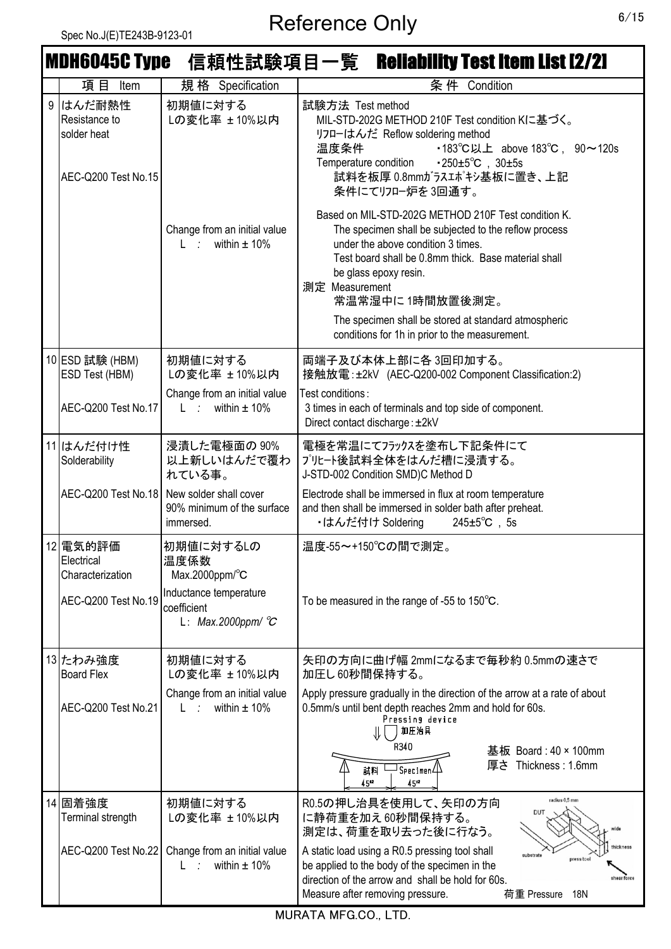|   |                                                               |                                                                            | <b>MDH6045C Type 信頼性試験項目一覧 Reliability Test Item List [2/2]</b>                                                                                                                                                                                                                                                                                                                    |
|---|---------------------------------------------------------------|----------------------------------------------------------------------------|------------------------------------------------------------------------------------------------------------------------------------------------------------------------------------------------------------------------------------------------------------------------------------------------------------------------------------------------------------------------------------|
|   | 項目<br>Item                                                    | 規格 Specification                                                           | 条件 Condition                                                                                                                                                                                                                                                                                                                                                                       |
| 9 | はんだ耐熱性<br>Resistance to<br>solder heat<br>AEC-Q200 Test No.15 | 初期値に対する<br>Lの変化率 ± 10%以内                                                   | 試験方法 Test method<br>MIL-STD-202G METHOD 210F Test condition Kに基づく。<br>リフローはんだ Reflow soldering method<br>•183°C以上 above 183°C, 90∼120s<br>温度条件<br>$\cdot 250 \pm 5^{\circ}$ C, $30 \pm 5s$<br>Temperature condition<br>試料を板厚 0.8mmガラスエポキシ基板に置き、上記<br>条件にてリフロー炉を3回通す。                                                                                                               |
|   |                                                               | Change from an initial value<br>within $\pm$ 10%<br>$L \rightarrow \infty$ | Based on MIL-STD-202G METHOD 210F Test condition K.<br>The specimen shall be subjected to the reflow process<br>under the above condition 3 times.<br>Test board shall be 0.8mm thick. Base material shall<br>be glass epoxy resin.<br>測定 Measurement<br>常温常湿中に1時間放置後測定。<br>The specimen shall be stored at standard atmospheric<br>conditions for 1h in prior to the measurement. |
|   |                                                               |                                                                            |                                                                                                                                                                                                                                                                                                                                                                                    |
|   | 10 ESD 試験 (HBM)<br>ESD Test (HBM)                             | 初期値に対する<br>Lの変化率 ±10%以内                                                    | 両端子及び本体上部に各 3回印加する。<br>接触放電: ±2kV (AEC-Q200-002 Component Classification:2)                                                                                                                                                                                                                                                                                                        |
|   | AEC-Q200 Test No.17                                           | Change from an initial value<br>L : within $\pm$ 10%                       | Test conditions:<br>3 times in each of terminals and top side of component.<br>Direct contact discharge: ±2kV                                                                                                                                                                                                                                                                      |
|   | 11 はんだ付け性<br>Solderability                                    | 浸漬した電極面の 90%<br>以上新しいはんだで覆わ<br>れている事。                                      | 電極を常温にてフラックスを塗布し下記条件にて<br>プリヒート後試料全体をはんだ槽に浸漬する。<br>J-STD-002 Condition SMD)C Method D                                                                                                                                                                                                                                                                                              |
|   | AEC-Q200 Test No.18                                           | New solder shall cover<br>90% minimum of the surface<br>immersed.          | Electrode shall be immersed in flux at room temperature<br>and then shall be immersed in solder bath after preheat.<br>・はんだ付け Soldering<br>$245 \pm 5^{\circ}$ C, 5s                                                                                                                                                                                                               |
|   | 12 電気的評価<br>Electrical<br>Characterization                    | │初期値に対するLの<br>温度係数<br>Max.2000ppm/ $\textdegree$ C                         | 温度-55~+150℃の間で測定。                                                                                                                                                                                                                                                                                                                                                                  |
|   | AEC-Q200 Test No.19                                           | Inductance temperature<br>coefficient<br>L: Max.2000ppm/ $\mathcal{C}$     | To be measured in the range of -55 to $150^{\circ}$ C.                                                                                                                                                                                                                                                                                                                             |
|   | 13 たわみ強度<br><b>Board Flex</b>                                 | 初期値に対する<br>Lの変化率 ± 10%以内                                                   | 矢印の方向に曲げ幅 2mmになるまで毎秒約 0.5mmの速さで<br>加圧し60秒間保持する。                                                                                                                                                                                                                                                                                                                                    |
|   | AEC-Q200 Test No.21                                           | Change from an initial value<br>L : within $\pm$ 10%                       | Apply pressure gradually in the direction of the arrow at a rate of about<br>0.5mm/s until bent depth reaches 2mm and hold for 60s.<br>Pressing device<br>加圧治具<br>R340<br>基板 Board: 40 × 100mm                                                                                                                                                                                     |
|   |                                                               |                                                                            | 厚さ Thickness: 1.6mm<br>$\overline{\mathsf{I}}$ Specimen $\mathsf{I}\!\! \downarrow$<br>試料<br>45 <sup>12</sup><br>$45^{12}$                                                                                                                                                                                                                                                         |
|   | 14 固着強度<br>Terminal strength                                  | 初期値に対する<br>Lの変化率 ±10%以内                                                    | radius 0,5 mm<br>R0.5の押し治具を使用して、矢印の方向<br>DUT<br>に静荷重を加え60秒間保持する。<br>測定は、荷重を取り去った後に行なう。                                                                                                                                                                                                                                                                                             |
|   | <b>AEC-Q200 Test No.22</b>                                    | Change from an initial value<br>within $\pm$ 10%<br>L.                     | hickness<br>A static load using a R0.5 pressing tool shall<br>substrate<br>press tool<br>be applied to the body of the specimen in the<br>direction of the arrow and shall be hold for 60s.<br>shear force<br>Measure after removing pressure.<br>荷重 Pressure<br>18N                                                                                                               |

MURATA MFG.CO., LTD.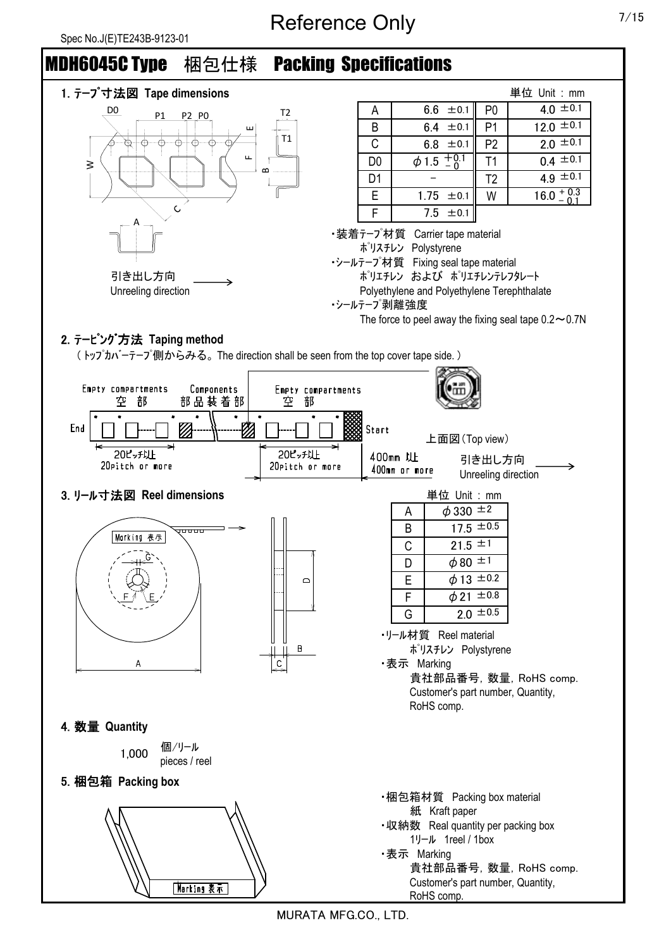

MURATA MFG.CO., LTD.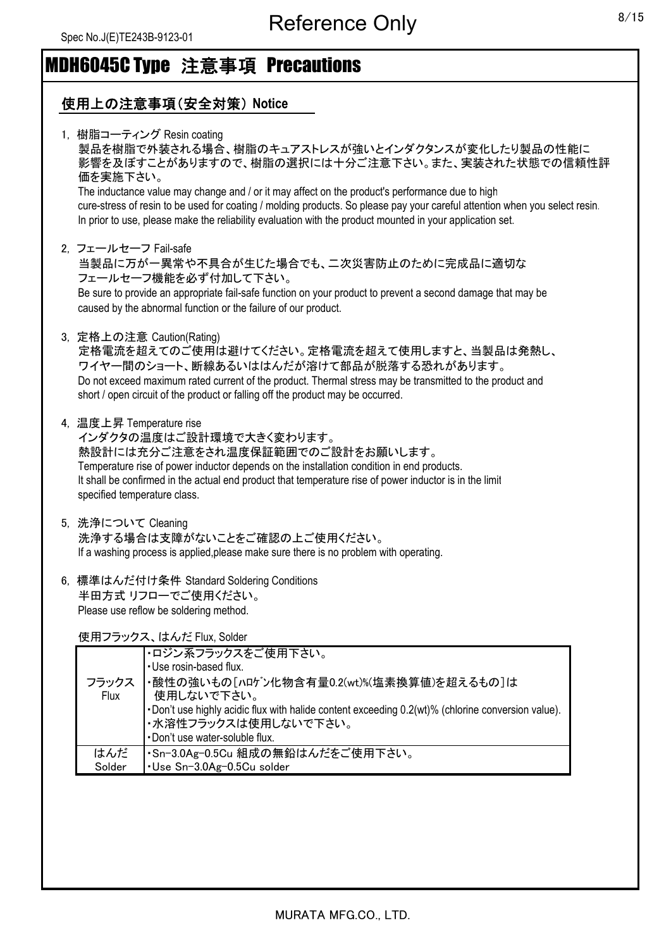### 使用上の注意事項(安全対策) **Notice**

| 1, 樹脂コーティング Resin coating<br>製品を樹脂で外装される場合、樹脂のキュアストレスが強いとインダクタンスが変化したり製品の性能に<br>影響を及ぼすことがありますので、樹脂の選択には十分ご注意下さい。また、実装された状態での信頼性評<br>価を実施下さい。<br>The inductance value may change and / or it may affect on the product's performance due to high<br>cure-stress of resin to be used for coating / molding products. So please pay your careful attention when you select resin.<br>In prior to use, please make the reliability evaluation with the product mounted in your application set. |
|---------------------------------------------------------------------------------------------------------------------------------------------------------------------------------------------------------------------------------------------------------------------------------------------------------------------------------------------------------------------------------------------------------------------------------------------------------------------------------------------|
| 2. フェールセーフ Fail-safe<br>当製品に万が一異常や不具合が生じた場合でも、二次災害防止のために完成品に適切な<br>フェールセーフ機能を必ず付加して下さい。<br>Be sure to provide an appropriate fail-safe function on your product to prevent a second damage that may be<br>caused by the abnormal function or the failure of our product.                                                                                                                                                                                                                    |
| 3. 定格上の注意 Caution(Rating)<br>定格電流を超えてのご使用は避けてください。定格電流を超えて使用しますと、当製品は発熱し、<br>ワイヤー間のショート、断線あるいははんだが溶けて部品が脱落する恐れがあります。<br>Do not exceed maximum rated current of the product. Thermal stress may be transmitted to the product and<br>short / open circuit of the product or falling off the product may be occurred.                                                                                                                                                                         |
| 4, 温度上昇 Temperature rise<br>インダクタの温度はご設計環境で大きく変わります。<br>熱設計には充分ご注意をされ温度保証範囲でのご設計をお願いします。<br>Temperature rise of power inductor depends on the installation condition in end products.<br>It shall be confirmed in the actual end product that temperature rise of power inductor is in the limit<br>specified temperature class.                                                                                                                                                            |
| 5, 洗浄について Cleaning<br>洗浄する場合は支障がないことをご確認の上ご使用ください。<br>If a washing process is applied, please make sure there is no problem with operating.                                                                                                                                                                                                                                                                                                                                                 |
| € 插淮け/だけは冬叶 Ctondard Coldering Conditiona                                                                                                                                                                                                                                                                                                                                                                                                                                                   |

6, 標準はんだ付け条件 Standard Soldering Conditions 半田方式 リフローでご使用ください。 Please use reflow be soldering method.

使用フラックス、はんだ Flux, Solder

| フラックス<br><b>Flux</b> | ・ロジン系フラックスをご使用下さい。<br>. Use rosin-based flux.<br>・酸性の強いもの[ハロゲン化物含有量0.2(wt)%(塩素換算値)を超えるもの]は<br>使用しないで下さい。<br>. Don't use highly acidic flux with halide content exceeding 0.2(wt)% (chlorine conversion value).<br>・水溶性フラックスは使用しないで下さい。<br>. Don't use water-soluble flux. |
|----------------------|---------------------------------------------------------------------------------------------------------------------------------------------------------------------------------------------------------------------------------------------------------------------------|
|                      |                                                                                                                                                                                                                                                                           |
| はんだ                  | ・Sn-3.0Ag-0.5Cu 組成の無鉛はんだをご使用下さい。                                                                                                                                                                                                                                          |
| Solder               | ·Use Sn-3.0Ag-0.5Cu solder                                                                                                                                                                                                                                                |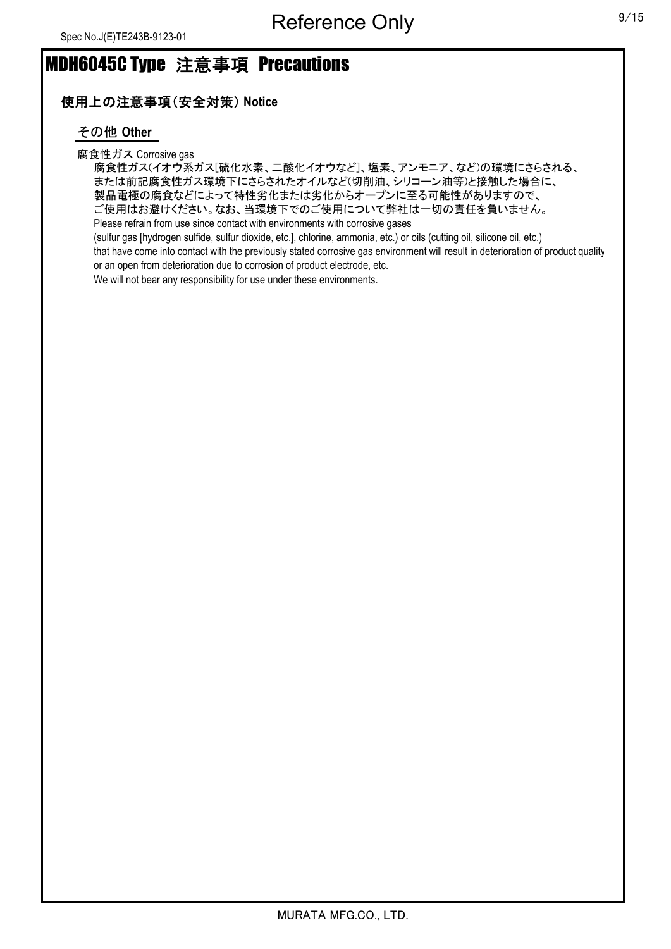#### 使用上の注意事項(安全対策) **Notice**

#### その他 **Other**

#### 腐食性ガス Corrosive gas

腐食性ガス(イオウ系ガス[硫化水素、二酸化イオウなど]、塩素、アンモニア、など)の環境にさらされる、 または前記腐食性ガス環境下にさらされたオイルなど(切削油、シリコーン油等)と接触した場合に、 製品電極の腐食などによって特性劣化または劣化からオープンに至る可能性がありますので、 ご使用はお避けください。なお、当環境下でのご使用について弊社は一切の責任を負いません。 Please refrain from use since contact with environments with corrosive gases

(sulfur gas [hydrogen sulfide, sulfur dioxide, etc.], chlorine, ammonia, etc.) or oils (cutting oil, silicone oil, etc.) that have come into contact with the previously stated corrosive gas environment will result in deterioration of product quality or an open from deterioration due to corrosion of product electrode, etc.

We will not bear any responsibility for use under these environments.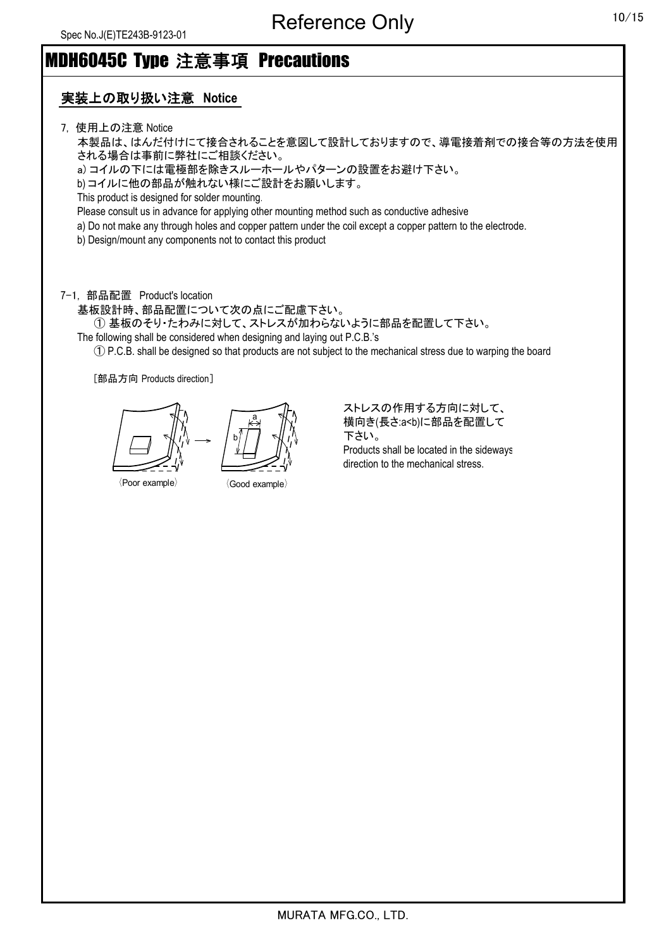### 実装上の取り扱い注意 **Notice**

7, 使用上の注意 Notice

本製品は、はんだ付けにて接合されることを意図して設計しておりますので、導電接着剤での接合等の方法を使用 される場合は事前に弊社にご相談ください。

a) コイルの下には電極部を除きスルーホールやパターンの設置をお避け下さい。

b) コイルに他の部品が触れない様にご設計をお願いします。

This product is designed for solder mounting.

Please consult us in advance for applying other mounting method such as conductive adhesive

a) Do not make any through holes and copper pattern under the coil except a copper pattern to the electrode.

b) Design/mount any components not to contact this product

7-1, 部品配置 Product's location

基板設計時、部品配置について次の点にご配慮下さい。

① 基板のそり・たわみに対して、ストレスが加わらないように部品を配置して下さい。

The following shall be considered when designing and laying out P.C.B.'s

① P.C.B. shall be designed so that products are not subject to the mechanical stress due to warping the board

[部品方向 Products direction]

 $\langle$ Poor example $\rangle$   $\langle$  Good example $\rangle$ b a

ストレスの作用する方向に対して、 横向き(長さ:a<b)に部品を配置して 下さい。 Products shall be located in the sideways direction to the mechanical stress.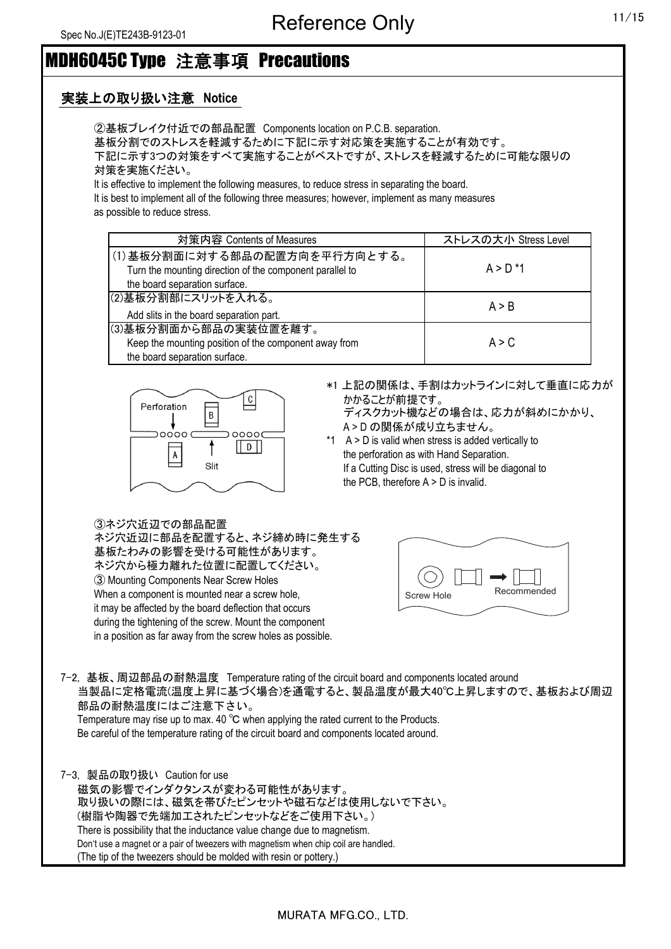#### 実装上の取り扱い注意 **Notice**

②基板ブレイク付近での部品配置 Components location on P.C.B. separation. 基板分割でのストレスを軽減するために下記に示す対応策を実施することが有効です。 下記に示す3つの対策をすべて実施することがベストですが、ストレスを軽減するために可能な限りの 対策を実施ください。

It is effective to implement the following measures, to reduce stress in separating the board. It is best to implement all of the following three measures; however, implement as many measures

as possible to reduce stress.

| 対策内容 Contents of Measures                                                                                                 | ストレスの大小 Stress Level |
|---------------------------------------------------------------------------------------------------------------------------|----------------------|
| (1)基板分割面に対する部品の配置方向を平行方向とする。<br>Turn the mounting direction of the component parallel to<br>the board separation surface. | $A > D^*1$           |
| (2)基板分割部にスリットを入れる。<br>Add slits in the board separation part.                                                             | A > B                |
| (3)基板分割面から部品の実装位置を離す。<br>Keep the mounting position of the component away from                                            | A > C                |
| the board separation surface.                                                                                             |                      |



\*1 上記の関係は、手割はカットラインに対して垂直に応力が かかることが前提です。

ディスクカット機などの場合は、応力が斜めにかかり、 A > D の関係が成り立ちません。

\*1 A > D is valid when stress is added vertically to the perforation as with Hand Separation. If a Cutting Disc is used, stress will be diagonal to the PCB, therefore A > D is invalid.

③ネジ穴近辺での部品配置

ネジ穴近辺に部品を配置すると、ネジ締め時に発生する 基板たわみの影響を受ける可能性があります。 ネジ穴から極力離れた位置に配置してください。 ③ Mounting Components Near Screw Holes When a component is mounted near a screw hole, it may be affected by the board deflection that occurs during the tightening of the screw. Mount the component in a position as far away from the screw holes as possible.



7-2, 基板、周辺部品の耐熱温度 Temperature rating of the circuit board and components located around 当製品に定格電流(温度上昇に基づく場合)を通電すると、製品温度が最大40℃上昇しますので、基板および周辺 部品の耐熱温度にはご注意下さい。 Temperature may rise up to max. 40 ℃ when applying the rated current to the Products.

Be careful of the temperature rating of the circuit board and components located around.

7-3, 製品の取り扱い Caution for use 磁気の影響でインダクタンスが変わる可能性があります。 取り扱いの際には、磁気を帯びたピンセットや磁石などは使用しないで下さい。 (樹脂や陶器で先端加工されたピンセットなどをご使用下さい。) There is possibility that the inductance value change due to magnetism. Don't use a magnet or a pair of tweezers with magnetism when chip coil are handled. (The tip of the tweezers should be molded with resin or pottery.)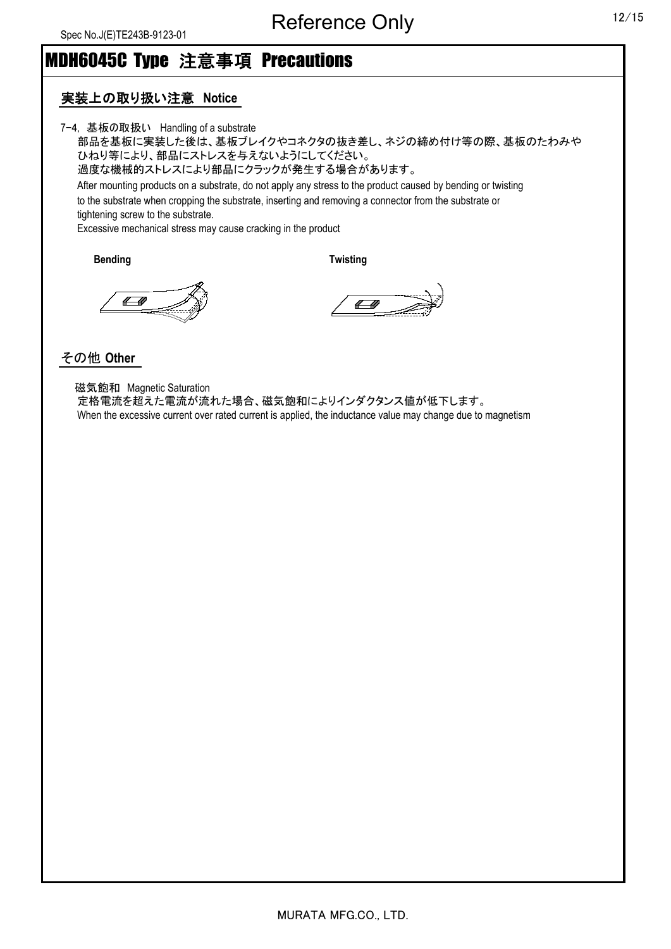#### 実装上の取り扱い注意 **Notice**

7-4, 基板の取扱い Handling of a substrate

部品を基板に実装した後は、基板ブレイクやコネクタの抜き差し、ネジの締め付け等の際、基板のたわみや ひねり等により、部品にストレスを与えないようにしてください。 過度な機械的ストレスにより部品にクラックが発生する場合があります。 After mounting products on a substrate, do not apply any stress to the product caused by bending or twisting to the substrate when cropping the substrate, inserting and removing a connector from the substrate or tightening screw to the substrate. Excessive mechanical stress may cause cracking in the product

**Bending Twisting**

 $\leftarrow$ 

 $\sqrt{a}$ 

#### その他 **Other**

 磁気飽和 Magnetic Saturation 定格電流を超えた電流が流れた場合、磁気飽和によりインダクタンス値が低下します。 When the excessive current over rated current is applied, the inductance value may change due to magnetism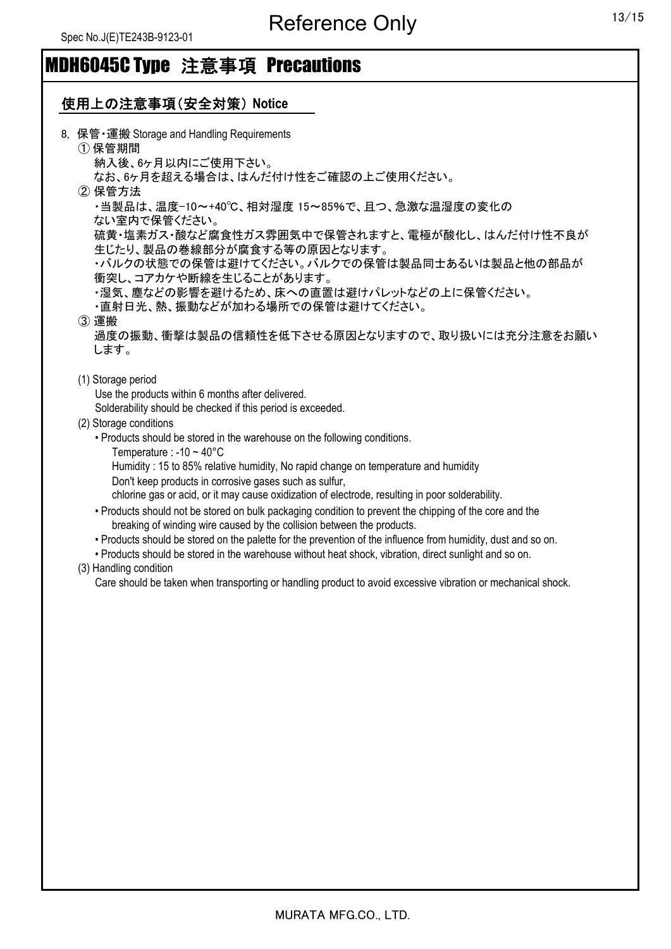### 使用上の注意事項(安全対策) **Notice**

| 8. 保管 · 運搬 Storage and Handling Requirements<br>①保管期間                                                         |
|---------------------------------------------------------------------------------------------------------------|
| 納入後、6ヶ月以内にご使用下さい。                                                                                             |
| なお、6ヶ月を超える場合は、はんだ付け性をご確認の上ご使用ください。                                                                            |
| ② 保管方法                                                                                                        |
| ・当製品は、温度-10~+40℃、相対湿度 15~85%で、且つ、急激な温湿度の変化の                                                                   |
| ない室内で保管ください。                                                                                                  |
| 硫黄・塩素ガス・酸など腐食性ガス雰囲気中で保管されますと、電極が酸化し、はんだ付け性不良が<br>生じたり、製品の巻線部分が腐食する等の原因となります。                                  |
| ・バルクの状態での保管は避けてください。バルクでの保管は製品同士あるいは製品と他の部品が                                                                  |
| 衝突し、コアカケや断線を生じることがあります。                                                                                       |
| ・湿気、塵などの影響を避けるため、床への直置は避けパレットなどの上に保管ください。                                                                     |
| ・直射日光、熱、振動などが加わる場所での保管は避けてください。                                                                               |
| 3運搬                                                                                                           |
| 過度の振動、衝撃は製品の信頼性を低下させる原因となりますので、取り扱いには充分注意をお願い                                                                 |
| します。                                                                                                          |
|                                                                                                               |
| (1) Storage period                                                                                            |
| Use the products within 6 months after delivered.                                                             |
| Solderability should be checked if this period is exceeded.                                                   |
|                                                                                                               |
| (2) Storage conditions                                                                                        |
| • Products should be stored in the warehouse on the following conditions.                                     |
| Temperature : -10 $\sim$ 40 $^{\circ}$ C                                                                      |
| Humidity: 15 to 85% relative humidity, No rapid change on temperature and humidity                            |
| Don't keep products in corrosive gases such as sulfur,                                                        |
| chlorine gas or acid, or it may cause oxidization of electrode, resulting in poor solderability.              |
| • Products should not be stored on bulk packaging condition to prevent the chipping of the core and the       |
| breaking of winding wire caused by the collision between the products.                                        |
| • Products should be stored on the palette for the prevention of the influence from humidity, dust and so on. |
| • Products should be stored in the warehouse without heat shock, vibration, direct sunlight and so on.        |
| (3) Handling condition                                                                                        |
| Care should be taken when transporting or handling product to avoid excessive vibration or mechanical shock.  |
|                                                                                                               |
|                                                                                                               |
|                                                                                                               |
|                                                                                                               |
|                                                                                                               |
|                                                                                                               |
|                                                                                                               |
|                                                                                                               |
|                                                                                                               |
|                                                                                                               |
|                                                                                                               |
|                                                                                                               |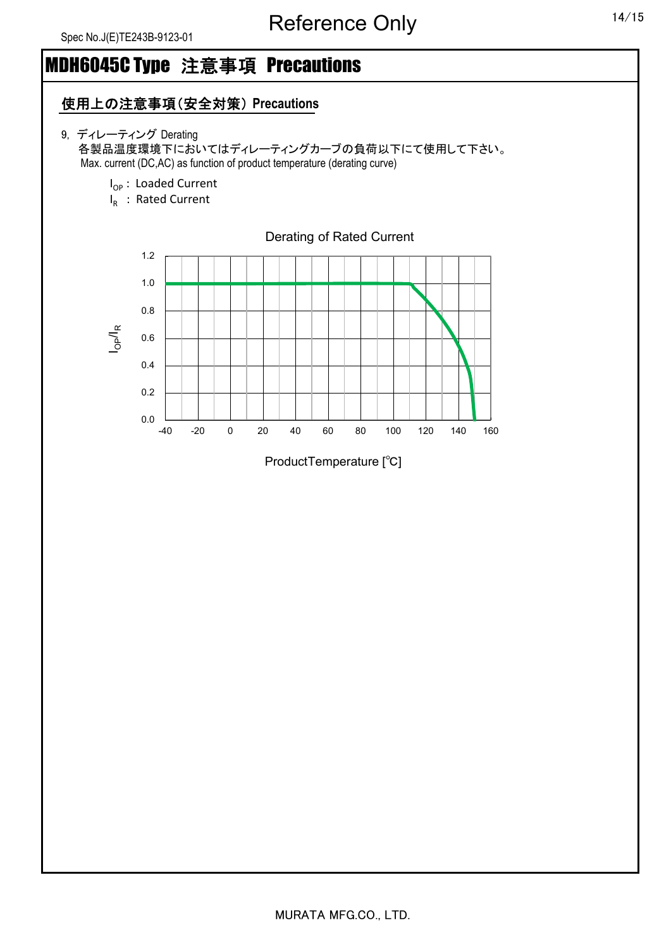### 使用上の注意事項(安全対策) **Precautions**

- 9, ディレーティング Derating 各製品温度環境下においてはディレーティングカーブの負荷以下にて使用して下さい。 Max. current (DC,AC) as function of product temperature (derating curve)
	- I<sub>OP</sub>: Loaded Current
	- $I_R$ : Rated Current

0.0 0.2 0.4 0.6 0.8 1.0 1.2 -40 -20 0 20 40 60 80 100 120 140 160 IOP/I R Derating of Rated Current